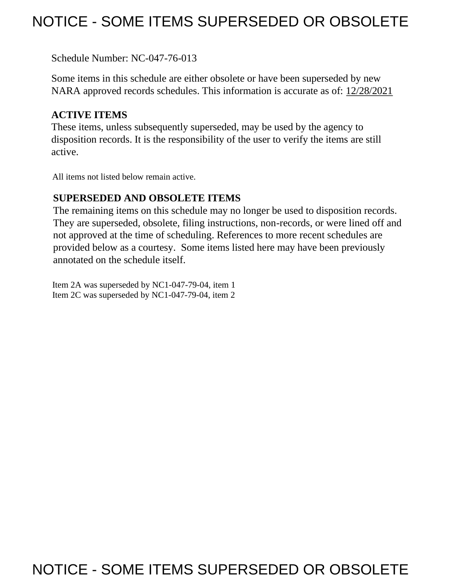## NOTICE - SOME ITEMS SUPERSEDED OR OBSOLETE

Schedule Number: NC-047-76-013

 Some items in this schedule are either obsolete or have been superseded by new NARA approved records schedules. This information is accurate as of: 12/28/2021

## **ACTIVE ITEMS**

 These items, unless subsequently superseded, may be used by the agency to disposition records. It is the responsibility of the user to verify the items are still active.

All items not listed below remain active.

## **SUPERSEDED AND OBSOLETE ITEMS**

 The remaining items on this schedule may no longer be used to disposition records. not approved at the time of scheduling. References to more recent schedules are provided below as a courtesy. Some items listed here may have been previously They are superseded, obsolete, filing instructions, non-records, or were lined off and annotated on the schedule itself.

Item 2A was superseded by NC1-047-79-04, item 1 Item 2C was superseded by NC1-047-79-04, item 2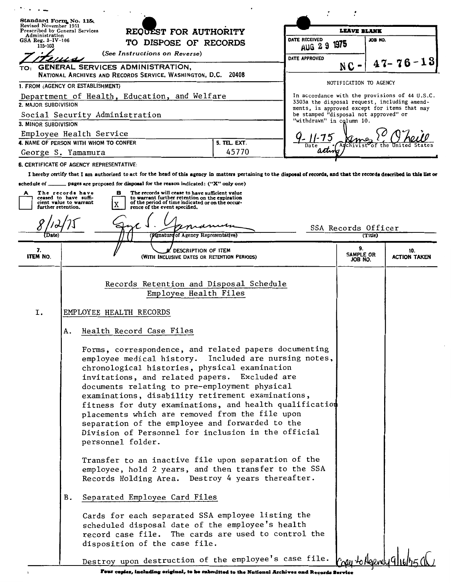| $\bullet$ $\bullet$ $\bullet$                                        |                                                                                                                                                                                                                                                                                                                                                                                                                                                                                                                                                                                                                                                                                                                                                                                                                                                                                                                                                |                                                                                                                                                                                                  |              |                                |                                                                    |                                                                                                                                                |  |
|----------------------------------------------------------------------|------------------------------------------------------------------------------------------------------------------------------------------------------------------------------------------------------------------------------------------------------------------------------------------------------------------------------------------------------------------------------------------------------------------------------------------------------------------------------------------------------------------------------------------------------------------------------------------------------------------------------------------------------------------------------------------------------------------------------------------------------------------------------------------------------------------------------------------------------------------------------------------------------------------------------------------------|--------------------------------------------------------------------------------------------------------------------------------------------------------------------------------------------------|--------------|--------------------------------|--------------------------------------------------------------------|------------------------------------------------------------------------------------------------------------------------------------------------|--|
| Standard Form No. 115.<br>Revised November 1951                      |                                                                                                                                                                                                                                                                                                                                                                                                                                                                                                                                                                                                                                                                                                                                                                                                                                                                                                                                                |                                                                                                                                                                                                  |              |                                |                                                                    |                                                                                                                                                |  |
| Prescribed by General Services<br>Administration                     |                                                                                                                                                                                                                                                                                                                                                                                                                                                                                                                                                                                                                                                                                                                                                                                                                                                                                                                                                | REQUEST FOR AUTHORITY                                                                                                                                                                            |              | <b>LEAVE BLANK</b>             |                                                                    |                                                                                                                                                |  |
| 115-103                                                              | $GSA$ Reg. $3-IV-106$<br>TO DISPOSE OF RECORDS                                                                                                                                                                                                                                                                                                                                                                                                                                                                                                                                                                                                                                                                                                                                                                                                                                                                                                 |                                                                                                                                                                                                  |              | DATE RECEIVED<br><b>AUG 29</b> | JOB NO.<br>1975                                                    |                                                                                                                                                |  |
|                                                                      |                                                                                                                                                                                                                                                                                                                                                                                                                                                                                                                                                                                                                                                                                                                                                                                                                                                                                                                                                | (See Instructions on Reverse)                                                                                                                                                                    |              | DATE APPROVED                  |                                                                    |                                                                                                                                                |  |
| TO:                                                                  |                                                                                                                                                                                                                                                                                                                                                                                                                                                                                                                                                                                                                                                                                                                                                                                                                                                                                                                                                | GENERAL SERVICES ADMINISTRATION,                                                                                                                                                                 |              |                                | $NC -$                                                             | $47 - 76 - 13$                                                                                                                                 |  |
|                                                                      |                                                                                                                                                                                                                                                                                                                                                                                                                                                                                                                                                                                                                                                                                                                                                                                                                                                                                                                                                | NATIONAL ARCHIVES AND RECORDS SERVICE, WASHINGTON, D.C. 20408                                                                                                                                    |              |                                | NOTIFICATION TO AGENCY                                             |                                                                                                                                                |  |
| 1. FROM (AGENCY OR ESTABLISHMENT)                                    |                                                                                                                                                                                                                                                                                                                                                                                                                                                                                                                                                                                                                                                                                                                                                                                                                                                                                                                                                |                                                                                                                                                                                                  |              |                                |                                                                    |                                                                                                                                                |  |
| Department of Health, Education, and Welfare<br>2. MAJOR SUBDIVISION |                                                                                                                                                                                                                                                                                                                                                                                                                                                                                                                                                                                                                                                                                                                                                                                                                                                                                                                                                |                                                                                                                                                                                                  |              |                                |                                                                    | In accordance with the provisions of 44 U.S.C.<br>3303a the disposal request, including amend-<br>ments, is approved except for items that may |  |
| Social Security Administration                                       |                                                                                                                                                                                                                                                                                                                                                                                                                                                                                                                                                                                                                                                                                                                                                                                                                                                                                                                                                |                                                                                                                                                                                                  |              |                                | be stamped "disposal not approved" or<br>"withdrawn" in column 10. |                                                                                                                                                |  |
| 3. MINOR SUBDIVISION                                                 | Employee Health Service                                                                                                                                                                                                                                                                                                                                                                                                                                                                                                                                                                                                                                                                                                                                                                                                                                                                                                                        |                                                                                                                                                                                                  |              |                                |                                                                    |                                                                                                                                                |  |
|                                                                      | 4. NAME OF PERSON WITH WHOM TO CONFER                                                                                                                                                                                                                                                                                                                                                                                                                                                                                                                                                                                                                                                                                                                                                                                                                                                                                                          |                                                                                                                                                                                                  | 5. TEL. EXT. |                                |                                                                    |                                                                                                                                                |  |
|                                                                      | George S. Yamamura                                                                                                                                                                                                                                                                                                                                                                                                                                                                                                                                                                                                                                                                                                                                                                                                                                                                                                                             |                                                                                                                                                                                                  | 45770        | activo                         |                                                                    |                                                                                                                                                |  |
|                                                                      | <b>6. CERTIFICATE OF AGENCY REPRESENTATIVE:</b>                                                                                                                                                                                                                                                                                                                                                                                                                                                                                                                                                                                                                                                                                                                                                                                                                                                                                                |                                                                                                                                                                                                  |              |                                |                                                                    |                                                                                                                                                |  |
|                                                                      |                                                                                                                                                                                                                                                                                                                                                                                                                                                                                                                                                                                                                                                                                                                                                                                                                                                                                                                                                | I hereby certify that I am authorized to act for the head of this agency in matters pertaining to the disposal of records, and that the records described in this list or                        |              |                                |                                                                    |                                                                                                                                                |  |
|                                                                      |                                                                                                                                                                                                                                                                                                                                                                                                                                                                                                                                                                                                                                                                                                                                                                                                                                                                                                                                                | schedule of _______ pages are proposed for disposal for the reason indicated: ("X" only one)                                                                                                     |              |                                |                                                                    |                                                                                                                                                |  |
| A<br>further retention.                                              | The records have<br>ceased to have suffi-<br>cient value to warrant                                                                                                                                                                                                                                                                                                                                                                                                                                                                                                                                                                                                                                                                                                                                                                                                                                                                            | The records will cease to have sufficient value<br>в<br>to warrant further retention on the expiration<br>of the period of time indicated or on the occur-<br>X<br>rence of the event specified. |              |                                |                                                                    |                                                                                                                                                |  |
|                                                                      |                                                                                                                                                                                                                                                                                                                                                                                                                                                                                                                                                                                                                                                                                                                                                                                                                                                                                                                                                |                                                                                                                                                                                                  |              |                                |                                                                    |                                                                                                                                                |  |
|                                                                      |                                                                                                                                                                                                                                                                                                                                                                                                                                                                                                                                                                                                                                                                                                                                                                                                                                                                                                                                                |                                                                                                                                                                                                  |              |                                | SSA Records Officer                                                |                                                                                                                                                |  |
| <i>l</i> 'Date)                                                      |                                                                                                                                                                                                                                                                                                                                                                                                                                                                                                                                                                                                                                                                                                                                                                                                                                                                                                                                                | (Mgnature of Agency Representative)                                                                                                                                                              |              |                                | (Title)                                                            |                                                                                                                                                |  |
| 7.<br><b>ITEM NO.</b>                                                |                                                                                                                                                                                                                                                                                                                                                                                                                                                                                                                                                                                                                                                                                                                                                                                                                                                                                                                                                | DESCRIPTION OF ITEM<br>(WITH INCLUSIVE DATES OR RETENTION PERIODS)                                                                                                                               |              |                                | 9.<br>SAMPLE OR<br>JOB NO.                                         | 10.<br>ACTION TAKEN                                                                                                                            |  |
|                                                                      |                                                                                                                                                                                                                                                                                                                                                                                                                                                                                                                                                                                                                                                                                                                                                                                                                                                                                                                                                | Records Retention and Disposal Schedule<br>Employee Health Files                                                                                                                                 |              |                                |                                                                    |                                                                                                                                                |  |
|                                                                      |                                                                                                                                                                                                                                                                                                                                                                                                                                                                                                                                                                                                                                                                                                                                                                                                                                                                                                                                                |                                                                                                                                                                                                  |              |                                |                                                                    |                                                                                                                                                |  |
| Ι.                                                                   |                                                                                                                                                                                                                                                                                                                                                                                                                                                                                                                                                                                                                                                                                                                                                                                                                                                                                                                                                | EMPLOYEE HEALTH RECORDS                                                                                                                                                                          |              |                                |                                                                    |                                                                                                                                                |  |
|                                                                      | Α.                                                                                                                                                                                                                                                                                                                                                                                                                                                                                                                                                                                                                                                                                                                                                                                                                                                                                                                                             | Health Record Case Files                                                                                                                                                                         |              |                                |                                                                    |                                                                                                                                                |  |
|                                                                      | Forms, correspondence, and related papers documenting<br>employee medical history. Included are nursing notes,<br>chronological histories, physical examination<br>invitations, and related papers. Excluded are<br>documents relating to pre-employment physical<br>examinations, disability retirement examinations,<br>fitness for duty examinations, and health qualification<br>placements which are removed from the file upon<br>separation of the employee and forwarded to the<br>Division of Personnel for inclusion in the official<br>personnel folder.<br>Transfer to an inactive file upon separation of the<br>employee, hold 2 years, and then transfer to the SSA<br>Records Holding Area. Destroy 4 years thereafter.<br>Separated Employee Card Files<br>В.<br>Cards for each separated SSA employee listing the<br>scheduled disposal date of the employee's health<br>record case file. The cards are used to control the |                                                                                                                                                                                                  |              |                                |                                                                    |                                                                                                                                                |  |
|                                                                      |                                                                                                                                                                                                                                                                                                                                                                                                                                                                                                                                                                                                                                                                                                                                                                                                                                                                                                                                                | disposition of the case file.<br>Destroy upon destruction of the employee's case file.                                                                                                           |              |                                |                                                                    |                                                                                                                                                |  |
|                                                                      |                                                                                                                                                                                                                                                                                                                                                                                                                                                                                                                                                                                                                                                                                                                                                                                                                                                                                                                                                |                                                                                                                                                                                                  |              |                                |                                                                    |                                                                                                                                                |  |